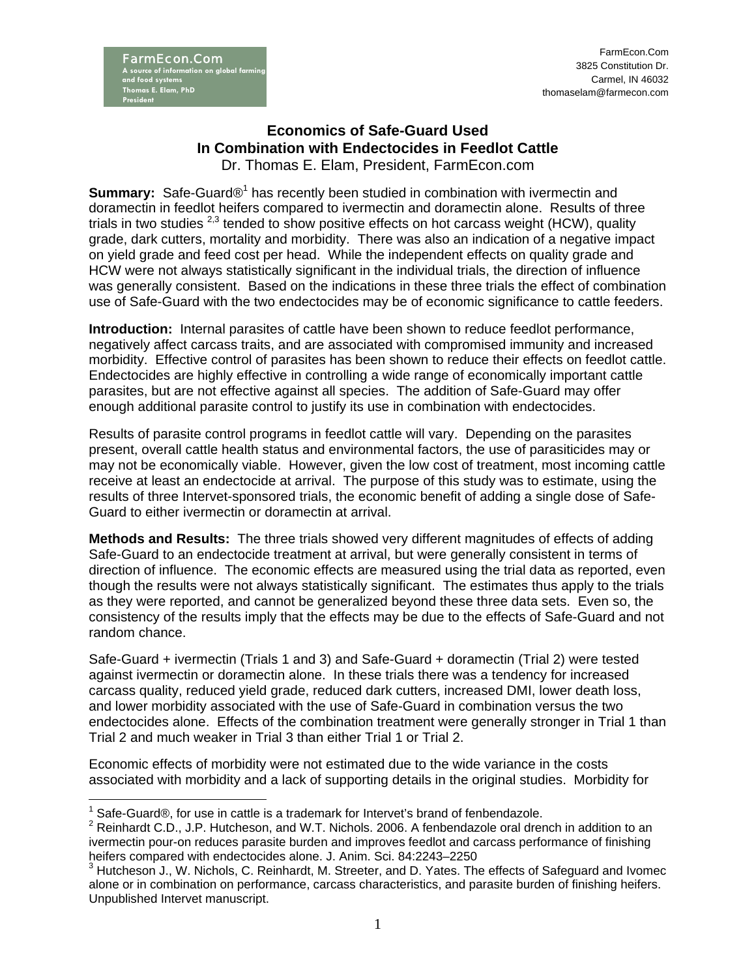## **Economics of Safe-Guard Used In Combination with Endectocides in Feedlot Cattle**  Dr. Thomas E. Elam, President, FarmEcon.com

**Summary:** Safe-Guard®<sup>1</sup> has recently been studied in combination with ivermectin and doramectin in feedlot heifers compared to ivermectin and doramectin alone. Results of three trials in two studies  $^{2,3}$  tended to show positive effects on hot carcass weight (HCW), quality grade, dark cutters, mortality and morbidity. There was also an indication of a negative impact on yield grade and feed cost per head. While the independent effects on quality grade and HCW were not always statistically significant in the individual trials, the direction of influence was generally consistent. Based on the indications in these three trials the effect of combination use of Safe-Guard with the two endectocides may be of economic significance to cattle feeders.

**Introduction:** Internal parasites of cattle have been shown to reduce feedlot performance, negatively affect carcass traits, and are associated with compromised immunity and increased morbidity. Effective control of parasites has been shown to reduce their effects on feedlot cattle. Endectocides are highly effective in controlling a wide range of economically important cattle parasites, but are not effective against all species. The addition of Safe-Guard may offer enough additional parasite control to justify its use in combination with endectocides.

Results of parasite control programs in feedlot cattle will vary. Depending on the parasites present, overall cattle health status and environmental factors, the use of parasiticides may or may not be economically viable. However, given the low cost of treatment, most incoming cattle receive at least an endectocide at arrival. The purpose of this study was to estimate, using the results of three Intervet-sponsored trials, the economic benefit of adding a single dose of Safe-Guard to either ivermectin or doramectin at arrival.

**Methods and Results:** The three trials showed very different magnitudes of effects of adding Safe-Guard to an endectocide treatment at arrival, but were generally consistent in terms of direction of influence. The economic effects are measured using the trial data as reported, even though the results were not always statistically significant. The estimates thus apply to the trials as they were reported, and cannot be generalized beyond these three data sets. Even so, the consistency of the results imply that the effects may be due to the effects of Safe-Guard and not random chance.

Safe-Guard + ivermectin (Trials 1 and 3) and Safe-Guard + doramectin (Trial 2) were tested against ivermectin or doramectin alone. In these trials there was a tendency for increased carcass quality, reduced yield grade, reduced dark cutters, increased DMI, lower death loss, and lower morbidity associated with the use of Safe-Guard in combination versus the two endectocides alone. Effects of the combination treatment were generally stronger in Trial 1 than Trial 2 and much weaker in Trial 3 than either Trial 1 or Trial 2.

Economic effects of morbidity were not estimated due to the wide variance in the costs associated with morbidity and a lack of supporting details in the original studies. Morbidity for

 $\overline{a}$  $1$  Safe-Guard®, for use in cattle is a trademark for Intervet's brand of fenbendazole.

 $2$  Reinhardt C.D., J.P. Hutcheson, and W.T. Nichols. 2006. A fenbendazole oral drench in addition to an ivermectin pour-on reduces parasite burden and improves feedlot and carcass performance of finishing heifers compared with endectocides alone. J. Anim. Sci. 84:2243–2250

 $3$  Hutcheson J., W. Nichols, C. Reinhardt, M. Streeter, and D. Yates. The effects of Safeguard and Ivomec alone or in combination on performance, carcass characteristics, and parasite burden of finishing heifers. Unpublished Intervet manuscript.